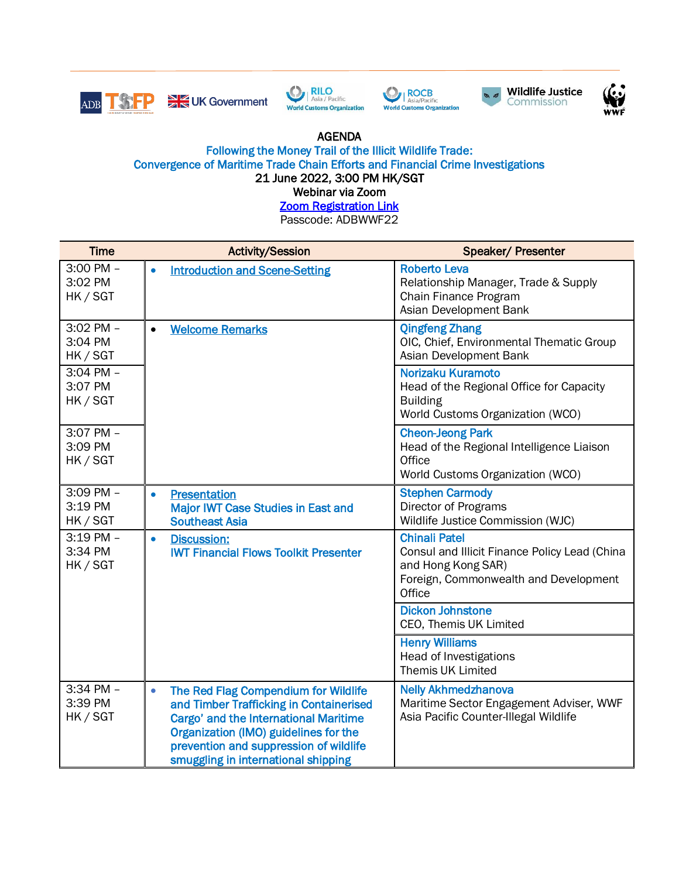









## AGENDA

## Following the Money Trail of the Illicit Wildlife Trade: Convergence of Maritime Trade Chain Efforts and Financial Crime Investigations 21 June 2022, 3:00 PM HK/SGT

Webinar via Zoom

**Zoom Registration Link** 

Passcode: ADBWWF22

| <b>Time</b>                          |           | <b>Activity/Session</b>                                                                                                                                                                                                                            | <b>Speaker/ Presenter</b>                                                                                                                      |
|--------------------------------------|-----------|----------------------------------------------------------------------------------------------------------------------------------------------------------------------------------------------------------------------------------------------------|------------------------------------------------------------------------------------------------------------------------------------------------|
| 3:00 PM -<br>3:02 PM<br>HK / SGT     | $\bullet$ | <b>Introduction and Scene-Setting</b>                                                                                                                                                                                                              | <b>Roberto Leva</b><br>Relationship Manager, Trade & Supply<br>Chain Finance Program<br>Asian Development Bank                                 |
| 3:02 PM -<br>3:04 PM<br>HK / SGT     | $\bullet$ | <b>Welcome Remarks</b>                                                                                                                                                                                                                             | <b>Qingfeng Zhang</b><br>OIC, Chief, Environmental Thematic Group<br>Asian Development Bank                                                    |
| 3:04 PM -<br>3:07 PM<br>HK / SGT     |           |                                                                                                                                                                                                                                                    | Norizaku Kuramoto<br>Head of the Regional Office for Capacity<br><b>Building</b><br>World Customs Organization (WCO)                           |
| 3:07 PM -<br>3:09 PM<br>HK / SGT     |           |                                                                                                                                                                                                                                                    | <b>Cheon-Jeong Park</b><br>Head of the Regional Intelligence Liaison<br>Office<br>World Customs Organization (WCO)                             |
| 3:09 PM -<br>3:19 PM<br>HK / SGT     | $\bullet$ | <b>Presentation</b><br><b>Major IWT Case Studies in East and</b><br><b>Southeast Asia</b>                                                                                                                                                          | <b>Stephen Carmody</b><br>Director of Programs<br>Wildlife Justice Commission (WJC)                                                            |
| $3:19$ PM $-$<br>3:34 PM<br>HK / SGT | $\bullet$ | <b>Discussion:</b><br><b>IWT Financial Flows Toolkit Presenter</b>                                                                                                                                                                                 | <b>Chinali Patel</b><br>Consul and Illicit Finance Policy Lead (China<br>and Hong Kong SAR)<br>Foreign, Commonwealth and Development<br>Office |
|                                      |           |                                                                                                                                                                                                                                                    | <b>Dickon Johnstone</b><br>CEO, Themis UK Limited                                                                                              |
|                                      |           |                                                                                                                                                                                                                                                    | <b>Henry Williams</b><br><b>Head of Investigations</b><br>Themis UK Limited                                                                    |
| 3:34 PM -<br>3:39 PM<br>HK / SGT     | $\bullet$ | The Red Flag Compendium for Wildlife<br>and Timber Trafficking in Containerised<br>Cargo' and the International Maritime<br>Organization (IMO) guidelines for the<br>prevention and suppression of wildlife<br>smuggling in international shipping | <b>Nelly Akhmedzhanova</b><br>Maritime Sector Engagement Adviser, WWF<br>Asia Pacific Counter-Illegal Wildlife                                 |